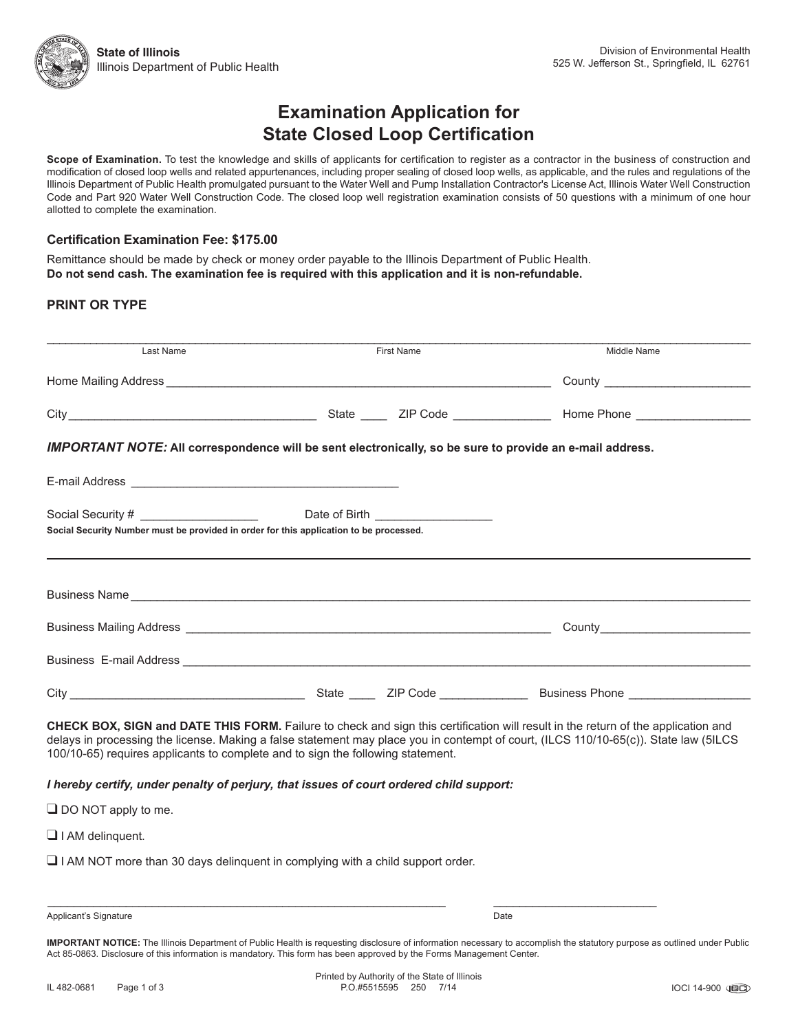## **Examination Application for State Closed Loop Certification**

**Scope of Examination.** To test the knowledge and skills of applicants for certification to register as a contractor in the business of construction and modification of closed loop wells and related appurtenances, including proper sealing of closed loop wells, as applicable, and the rules and regulations of the Illinois Department of Public Health promulgated pursuant to the Water Well and Pump Installation Contractor's License Act, Illinois Water Well Construction Code and Part 920 Water Well Construction Code. The closed loop well registration examination consists of 50 questions with a minimum of one hour allotted to complete the examination.

#### **Certification Examination Fee: \$175.00**

Remittance should be made by check or money order payable to the Illinois Department of Public Health. **Do not send cash. The examination fee is required with this application and it is non-refundable.**

#### **PRINT OR TYPE**

| Last Name                                                                                                                                                                                                                      | First Name | Middle Name                                                                                                                                                                                                                                                               |  |
|--------------------------------------------------------------------------------------------------------------------------------------------------------------------------------------------------------------------------------|------------|---------------------------------------------------------------------------------------------------------------------------------------------------------------------------------------------------------------------------------------------------------------------------|--|
|                                                                                                                                                                                                                                |            |                                                                                                                                                                                                                                                                           |  |
|                                                                                                                                                                                                                                |            |                                                                                                                                                                                                                                                                           |  |
| <b>IMPORTANT NOTE:</b> All correspondence will be sent electronically, so be sure to provide an e-mail address.                                                                                                                |            |                                                                                                                                                                                                                                                                           |  |
|                                                                                                                                                                                                                                |            |                                                                                                                                                                                                                                                                           |  |
|                                                                                                                                                                                                                                |            |                                                                                                                                                                                                                                                                           |  |
| Social Security Number must be provided in order for this application to be processed.                                                                                                                                         |            |                                                                                                                                                                                                                                                                           |  |
|                                                                                                                                                                                                                                |            |                                                                                                                                                                                                                                                                           |  |
| Business Name experience and the contract of the contract of the contract of the contract of the contract of the contract of the contract of the contract of the contract of the contract of the contract of the contract of t |            |                                                                                                                                                                                                                                                                           |  |
|                                                                                                                                                                                                                                |            |                                                                                                                                                                                                                                                                           |  |
|                                                                                                                                                                                                                                |            |                                                                                                                                                                                                                                                                           |  |
|                                                                                                                                                                                                                                |            | Business E-mail Address <b>Container and Container and Container and Container and Container and Container</b> and Container                                                                                                                                              |  |
|                                                                                                                                                                                                                                |            |                                                                                                                                                                                                                                                                           |  |
| 100/10-65) requires applicants to complete and to sign the following statement.                                                                                                                                                |            | CHECK BOX, SIGN and DATE THIS FORM. Failure to check and sign this certification will result in the return of the application and<br>delays in processing the license. Making a false statement may place you in contempt of court, (ILCS 110/10-65(c)). State law (5ILCS |  |
| I hereby certify, under penalty of perjury, that issues of court ordered child support:                                                                                                                                        |            |                                                                                                                                                                                                                                                                           |  |

 $\Box$  DO NOT apply to me.

 $\Box$  I AM delinquent.

 $\Box$  I AM NOT more than 30 days delinguent in complying with a child support order.

Applicant's Signature Date

**IMPORTANT NOTICE:** The Illinois Department of Public Health is requesting disclosure of information necessary to accomplish the statutory purpose as outlined under Public Act 85-0863. Disclosure of this information is mandatory. This form has been approved by the Forms Management Center.

 $\_$  , and the state of the state of the state of the state of the state of the state of the state of the state of the state of the state of the state of the state of the state of the state of the state of the state of the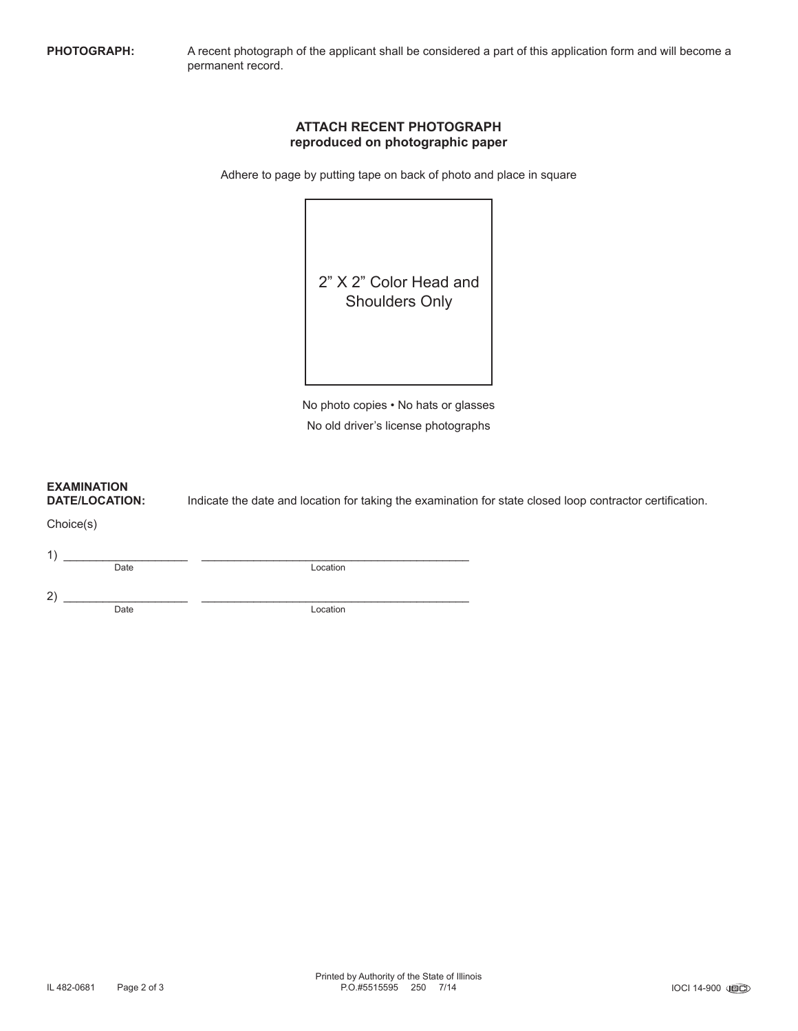**PHOTOGRAPH:** A recent photograph of the applicant shall be considered a part of this application form and will become a permanent record.

#### **ATTACH RECENT PHOTOGRAPH reproduced on photographic paper**

Adhere to page by putting tape on back of photo and place in square



No photo copies • No hats or glasses No old driver's license photographs

# **EXAMINATION**

**DATE/LOCATION:** Indicate the date and location for taking the examination for state closed loop contractor certification.

Choice(s)

 $1)$   $\overline{\phantom{a}}$  Date

Location

 $2)$   $\overline{\phantom{a}}$  Date

Location